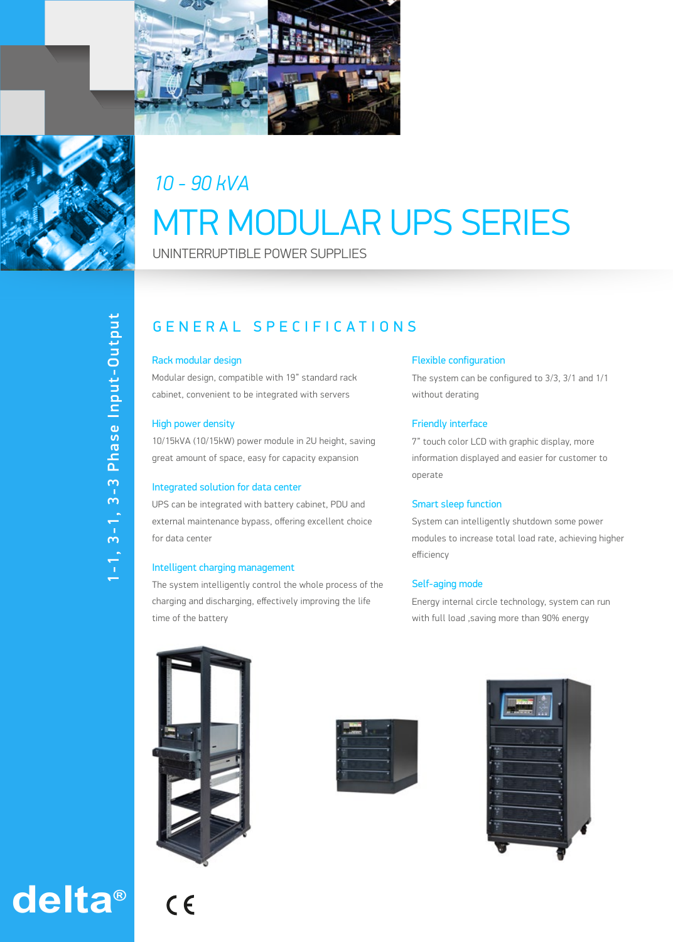



## *10 - 90 kVA* MTR MODULAR UPS SERIES

UNINTERRUPTIBLE POWER SUPPLIES

# 1-1, 3-1, 3-3 Phase Input-Output 1-1, 3-1, 3-3 Phase Input-Output

### GENERAL SPECIFIC A TIONS

#### Rack modular design

Modular design, compatible with 19" standard rack cabinet, convenient to be integrated with servers

#### High power density

10/15kVA (10/15kW) power module in 2U height, saving great amount of space, easy for capacity expansion

#### Integrated solution for data center

UPS can be integrated with battery cabinet, PDU and external maintenance bypass, offering excellent choice for data center

#### Intelligent charging management

The system intelligently control the whole process of the charging and discharging, effectively improving the life time of the battery

#### Flexible configuration

The system can be configured to 3/3, 3/1 and 1/1 without derating

#### Friendly interface

7" touch color LCD with graphic display, more information displayed and easier for customer to operate

#### Smart sleep function

System can intelligently shutdown some power modules to increase total load rate, achieving higher efficiency

#### Self-aging mode

Energy internal circle technology, system can run with full load ,saving more than 90% energy







# **delta®**

 $C<sub>6</sub>$